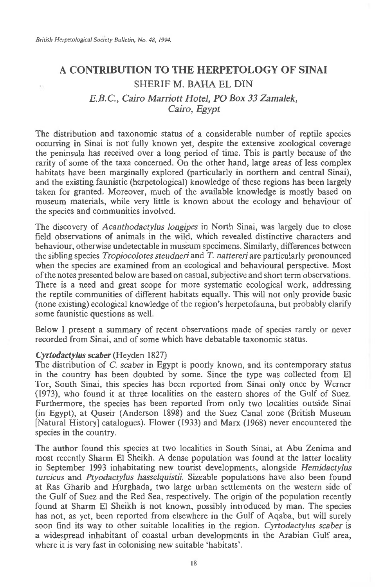# **A CONTRIBUTION TO THE HERPETOLOGY OF SINAI**  SHERIF M. BAHA EL DIN *E.B.C., Cairo Marriott Hotel, PO Box 33 Zamalek,*

# *Cairo, Egypt*

The distribution and taxonomic status of a considerable number of reptile species occurring in Sinai is not fully known yet, despite the extensive zoological coverage the peninsula has received over a long period of time. This is partly because of the rarity of some of the taxa concerned. On the other hand, large areas of less complex habitats have been marginally explored (particularly in northern and central Sinai), and the existing faunistic (herpetological) knowledge of these regions has been largely taken for granted. Moreover, much of the available knowledge is mostly based on museum materials, while very little is known about the ecology and behaviour of the species and communities involved.

The discovery of *Acanthodactylus longipes* in North Sinai, was largely due to close field observations of animals in the wild, which revealed distinctive characters and behaviour, otherwise undetectable in museum specimens. Similarly, differences between the sibling species *Tropiocolotes steudneri* and *T. nattereri* are particularly pronounced when the species are examined from an ecological and behavioural perspective. Most of the notes presented below are based on casual, subjective and short term observations. There is a need and great scope for more systematic ecological work, addressing the reptile communities of different habitats equally. This will not only provide basic (none existing) ecological knowledge of the region's herpetofauna, but probably clarify some faunistic questions as well.

Below 1 present a summary of recent observations made of species rarely or never recorded from Sinai, and of some which have debatable taxonomic status.

### *Cyrtodactylus scaber* (Heyden 1827)

The distribution of C. *scaber* in Egypt is poorly known, and its contemporary status in the country has been doubted by some. Since the type was collected from El Tor, South Sinai, this species has been reported from Sinai only once by Werner (1973), who found it at three localities on the eastern shores of the Gulf of Suez. Furthermore, the species has been reported from only two localities outside Sinai (in Egypt), at Quseir (Anderson 1898) and the Suez Canal zone (British Museum [Natural History] catalogues). Flower (1933) and Marx (1968) never encountered the species in the country.

The author found this species at two localities in South Sinai, at Abu Zenima and most recently Sharm El Sheikh. A dense population was found at the latter locality in September 1993 inhabitating new tourist developments, alongside *Hemidactylus turcicus* and *Ptyodactylus hasselquistii.* Sizeable populations have also been found at Ras Gharib and Hurghada, two large urban settlements on the western side of the Gulf of Suez and the Red Sea, respectively. The origin of the population recently found at Sharm El Sheikh is not known, possibly introduced by man. The species has not, as yet, been reported from elsewhere in the Gulf of Aqaba, but will surely soon find its way to other suitable localities in the region. *Cyrtodactylus scaber is*  a widespread inhabitant of coastal urban developments in the Arabian Gulf area, where it is very fast in colonising new suitable 'habitats'.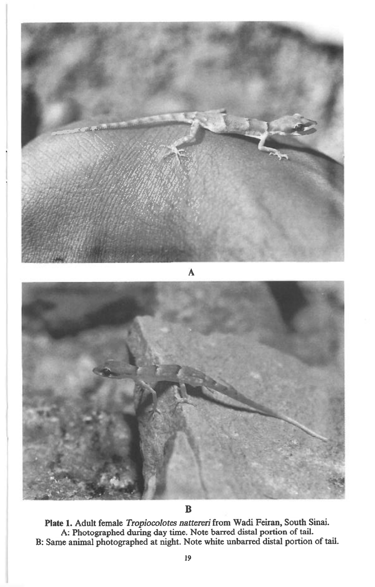

**B** 

**Plate 1. Adult female** *Tropiocolotes nattereri* **from Wadi Feiran, South Sinai. A: Photographed during day time. Note barred distal portion of tail. B: Same animal photographed at night. Note white unbarred distal portion of tail.**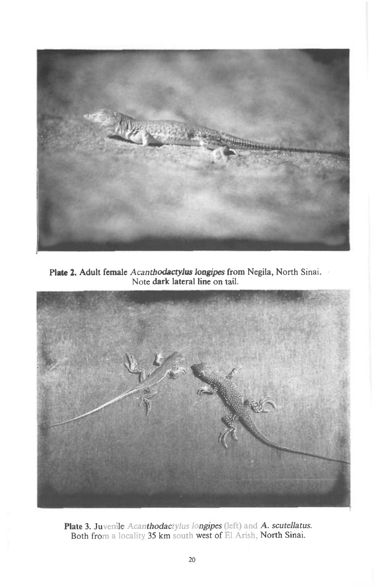

**Plate 2. Adult female** *Acanthodactylus longipes* **from Negila, North Sinai. Note dark lateral line on tail.** 



**Plate 3. Juvenile** *Acanthodactylus longipes* **(left) and** *A. scutellatus.*  **Both from a locality 35 km south west of El Arish, North Sinai.**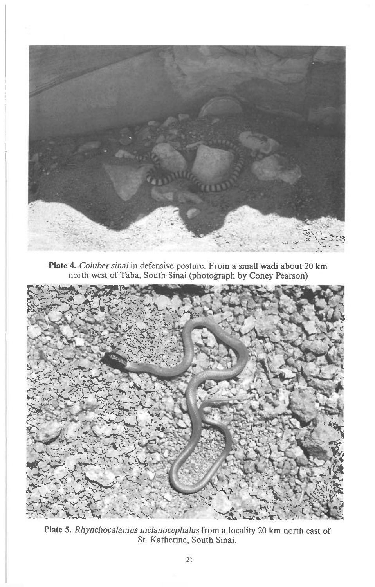

**Plate 4.** *Coluber sinai* in defensive posture. From a small wadi about 20 km north west of Taba, South Sinai (photograph by Coney Pearson)



**Plate 5.** *Rhynchocalamus melanocephalus* from a locality 20 km north east of St. Katherine, South Sinai.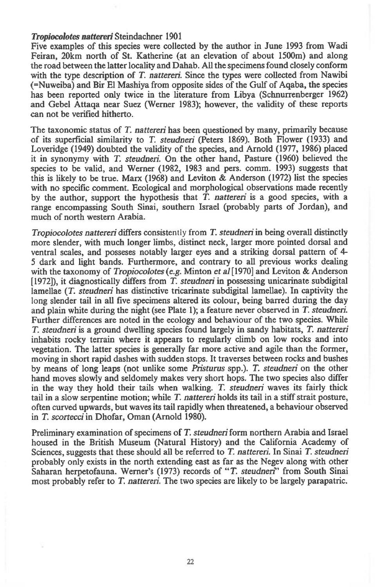#### *Tropiocolotes nattereri* **Steindachner 1901**

**Five examples of this species were collected by the author in June 1993 from Wadi Feiran, 20km north of St. Katherine (at an elevation of about 1500m) and along the road between the latter locality and Dahab. All the specimens found closely conform**  with the type description of *T. nattereri*. Since the types were collected from Nawibi **(=Nuweiba) and Bir El Mashiya from opposite sides of the Gulf of Aqaba, the species has been reported only twice in the literature from Libya (Schnurrenberger 1962) and Gebel Attaqa near Suez (Werner 1983); however, the validity of these reports can not be verified hitherto.** 

The taxonomic status of *T. nattereri* has been questioned by many, primarily because **of its superficial similarity to** *T. steudneri* **(Peters 1869). Both Flower (1933) and Loveridge (1949) doubted the validity of the species, and Arnold (1977, 1986) placed it in synonymy with** *T. steudneri.* **On the other hand, Pasture (1960) believed the species to be valid, and Werner (1982, 1983 and pers. comm. 1993) suggests that this is likely to be true. Marx (1968) and Leviton & Anderson (1972) list the species with no specific comment. Ecological and morphological observations made recently**  by the author, support the hypothesis that *T. nattereri* is a good species, with a **range encompassing South Sinai, southern Israel (probably parts of Jordan), and much of north western Arabia.** 

*Tropiocolotes nattereri* **differs consistently from** *T. steudneri* **in being overall distinctly more slender, with much longer limbs, distinct neck, larger more pointed dorsal and ventral scales, and posseses notably larger eyes and a striking dorsal pattern of 4 5 dark and light bands. Furthermore, and contrary to all previous works dealing with the taxonomy of** *Tropiocolotes (e.g.* **Minton** *et al* **[1970] and Leviton & Anderson [1972]), it diagnostically differs from** *T. steudneri in* **possessing unicarinate subdigital lamellae** *(T. steudneri* **has distinctive tricarinate subdigital lamellae). In captivity the long slender tail in all five specimens altered its colour, being barred during the day and plain white during the night (see Plate 1); a feature never observed** *in T. steudneri.*  **Further differences are noted in the ecology and behaviour of the two species. While**  *T. steudneri is* **a ground dwelling species found largely in sandy habitats,** *T. nattereri*  **inhabits rocky terrain where it appears to regularly climb on low rocks and into vegetation. The latter species is generally far more active and agile than the former, moving in short rapid dashes with sudden stops. It traverses between rocks and bushes by means of long leaps (not unlike some** *Pristurus* **spp.).** *T. steudneri* **on the other hand moves slowly and seldomely makes very short hops. The two species also differ in the way they hold their tails when walking.** *T. steudneri* **waves its fairly thick tail in a slow serpentine motion; while** *T. nattereri* **holds its tail in a stiff strait posture, often curved upwards, but waves its tail rapidly when threatened, a behaviour observed**  *in T. scortecci in* **Dhofar, Oman (Arnold 1980).** 

**Preliminary examination of specimens of** *T. steudneri* **form northern Arabia and Israel housed in the British Museum (Natural History) and the California Academy of Sciences, suggests that these should all be referred to** *T. nattered.* **In Sinai** *T. steudneri*  **probably only exists in the north extending east as far as the Negev along with other Saharan herpetofauna. Werner's (1973) records of** *"T. steudneri"* **from South Sinai most probably refer to** *T. nattered.* **The two species are likely to be largely parapatric.**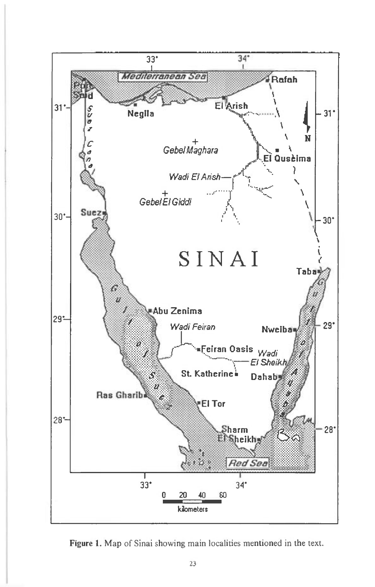

**Figure 1.** Map of Sinai showing main localities mentioned in the text.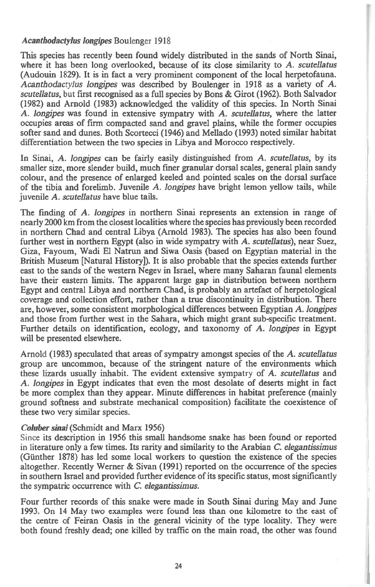# *Acanthodactylus longipes* Boulenger 1918

This species has recently been found widely distributed in the sands of North Sinai, where it has been long overlooked, because of its close similarity to A. *scutellatus*  (Audouin 1829). It is in fact a very prominent component of the local herpetofauna. *Acanthodactylus longipes* was described by Boulenger in 1918 as a variety of A. *scutellatus,* but first recognised as a full species by Bons & Girot (1962). Both Salvador (1982) and Arnold (1983) acknowledged the validity of this species. In North Sinai A. *longipes* was found in extensive sympatry with A. *scutellatus,* where the latter occupies areas of firm compacted sand and gravel plains, while the former occupies softer sand and dunes. Both Scortecci (1946) and Mellado (1993) noted similar habitat differentiation between the two species in Libya and Morocco respectively.

In Sinai, A. *longipes* can be fairly easily distinguished from A. *scutellatus,* by its smaller size, more slender build, much finer granular dorsal scales, general plain sandy colour, and the presence of enlarged keeled and pointed scales on the dorsal surface of the tibia and forelimb. Juvenile A. *longipes* have bright lemon yellow tails, while juvenile A. *scutellatus* have blue tails.

The finding of A. *longipes* in northern Sinai represents an extension in range of nearly 2000 km from the closest localities where the species has previously been recorded in northern Chad and central Libya (Arnold 1983). The species has also been found further west in northern Egypt (also in wide sympatry with A. *scutellatus),* near Suez, Giza, Fayoum, Wadi El Natrun and Siwa Oasis (based on Egyptian material in the British Museum [Natural History]). It is also probable that the species extends further east to the sands of the western Negev in Israel, where many Saharan faunal elements have their eastern limits. The apparent large gap in distribution between northern Egypt and central Libya and northern Chad, is probably an artefact of herpetological coverage and collection effort, rather than a true discontinuity in distribution. There are, however, some consistent morphological differences between Egyptian A. *longipes*  and those from further west in the Sahara, which might grant sub-specific treatment. Further details on identification, ecology, and taxonomy of A. *longipes* in Egypt will be presented elsewhere.

Arnold (1983) speculated that areas of sympatry amongst species of the A. *scutellatus*  group are uncommon, because of the stringent nature of the environments which these lizards usually inhabit. The evident extensive sympatry of A. *scutellatus* and A. *longipes* in Egypt indicates that even the most desolate of deserts might in fact be more complex than they appear. Minute differences in habitat preference (mainly ground softness and substrate mechanical composition) facilitate the coexistence of these two very similar species.

## *Coluber sinai* (Schmidt and Marx 1956)

Since its description in 1956 this small handsome snake has been found or reported in literature only a few times. Its rarity and similarity to the Arabian *C. elegantissimus*  (Gunther 1878) has led some local workers to question the existence of the species altogether. Recently Werner & Sivan (1991) reported on the occurrence of the species in southern Israel and provided further evidence of its specific status, most significantly the sympatric occurrence with *C. elegantissimus.* 

Four further records of this snake were made in South Sinai during May and June 1993. On 14 May two examples were found less than one kilometre to the east of the centre of Feiran Oasis in the general vicinity of the type locality. They were both found freshly dead; one killed by traffic on the main road, the other was found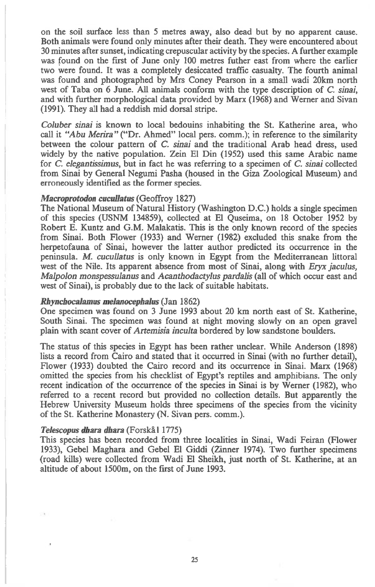on the soil surface less than 5 metres away, also dead but by no apparent cause. Both animals were found only minutes after their death. They were encountered about 30 minutes after sunset, indicating crepuscular activity by the species. A further example was found on the first of June only 100 metres futher east from where the earlier two were found. It was a completely desiccated traffic casualty. The fourth animal was found and photographed by Mrs Coney Pearson in a small wadi 20km north west of Taba on 6 June. All animals conform with the type description of *C. sinai,*  and with further morphological data provided by Marx (1968) and Werner and Sivan (1991). They all had a reddish mid dorsal stripe.

*Coluber sinai* is known to local bedouins inhabiting the St. Katherine area, who call it *"Abu Merira"* ("Dr. Ahmed" local pers. comm.); in reference to the similarity between the colour pattern of *C. sinai* and the traditional Arab head dress, used widely by the native population. Zein El Din (1952) used this same Arabic name for *C. elegantissimus,* but in fact he was referring to a specimen of *C. sinai* collected from Sinai by General Negumi Pasha (housed in the Giza Zoological Museum) and erroneously identified as the former species.

### *Macroprotodon cucullatus* (Geoffroy 1827)

The National Museum of Natural History (Washington D.C.) holds a single specimen of this species (USNM 134859), collected at El Quseima, on 18 October 1952 by Robert E. Kuntz and G.M. Malakatis. This is the only known record of the species from Sinai. Both Flower (1933) and Werner (1982) excluded this snake from the herpetofauna of Sinai, however the latter author predicted its occurrence in the peninsula. M. *cucullatus* is only known in Egypt from the Mediterranean littoral west of the Nile. Its apparent absence from most of Sinai, along with *Eryx jaculus, Malpolon monspessulanus* and *Acanthodactylus pardalis* (all of which occur east and west of Sinai), is probably due to the lack of suitable habitats.

# *Rhynchocalamus melanocephalus* (Jan 1862)

One specimen was found on 3 June 1993 about 20 km north east of St. Katherine, South Sinai. The specimen was found at night moving slowly on an open gravel plain with scant cover of *Artemisia inculta* bordered by low sandstone boulders.

The status of this species in Egypt has been rather unclear. While Anderson (1898) lists a record from Cairo and stated that it occurred in Sinai (with no further detail), Flower (1933) doubted the Cairo record and its occurrence in Sinai. Marx (1968) omitted the species from his checklist of Egypt's reptiles and amphibians. The only recent indication of the occurrence of the species in Sinai is by Werner (1982), who referred to a recent record but provided no collection details. But apparently the Hebrew University Museum holds three specimens of the species from the vicinity of the St. Katherine Monastery (N. Sivan pers. comm.).

### **Telescopus dhara dhara** (Forskå 11775)

This species has been recorded from three localities in Sinai, Wadi Feiran (Flower 1933), Gebel Maghara and Gebel El Giddi (Zinner 1974). Two further specimens (road kills) were collected from Wadi El Sheikh, just north of St. Katherine, at an altitude of about 1500m, on the first of June 1993.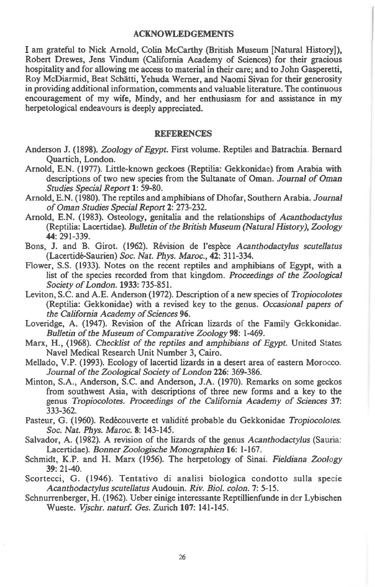#### ACKNOWLEDGEMENTS

I am grateful to Nick Arnold, Colin McCarthy (British Museum [Natural History]), Robert Drewes, Jens Vindum (California Academy of Sciences) for their gracious hospitality and for allowing me access to material in their care; and to John Gasperetti, Roy McDiarmid, Beat Schatti, Yehuda Werner, and Naomi Sivan for their generosity in providing additional information, comments and valuable literature. The continuous encouragement of my wife, Mindy, and her enthusiasm for and assistance in my herpetological endeavours is deeply appreciated.

#### **REFERENCES**

- Anderson J. (1898). *Zoology of Egypt.* First volume. Reptiles and Batrachia. Bernard Quartich, London.
- Arnold, E.N. (1977). Little-known geckoes (Reptilia: Gekkonidae) from Arabia with descriptions of two new species from the Sultanate of Oman. *Journal of Oman Studies Special Report* **1:** 59-80.
- Arnold, E.N. (1980). The reptiles and amphibians of Dhofar, Southern Arabia. *Journal of Oman Studies Special Report* **2:** 273-232.
- Arnold, E.N. (1983). Osteology, genitalia and the relationships of *Acanthodactylus*  (Reptilia: Lacertidae). *Bulletin of the British Museum (Natural History), Zoology*  **44:** 291-339.
- Bons, J. and B. Girot. (1962). Revision de l'espece *Acanthodactylus scutellatus*  (Lacerticle-Saurien) *Soc. Nat. Phys. Maroc.,* **42:** 311-334.
- Flower, S.S. (1933). Notes on the recent reptiles and amphibians of Egypt, with a list of the species recorded from that kingdom. *Proceedings of the Zoological Society of London.* **1933:** 735-851.
- Leviton, S.C. and A.E. Anderson (1972). Description of a new species of *Tropiocolotes*  (Reptilia: Gekkonidae) with a revised key to the genus. *Occasional papers of the California Academy of Sciences* **96.**
- Loveridge, A. (1947). Revision of the African lizards of the Family Gekkonidae. *Bulletin of the Museum of Comparative Zoology* **98:** 1-469.
- Marx, H., (1968). *Checklist of the reptiles and amphibians of Egypt.* United States Navel Medical Research Unit Number 3, Cairo.
- Mellado, V.P. (1993). Ecology of lacertid lizards in a desert area of eastern Morocco. *Journal of the Zoological Society of London* **226:** 369-386.
- Minton, S.A., Anderson, S.C. and Anderson, J.A. (1970). Remarks on some geckos from southwest Asia, with descriptions of three new forms and a key to the genus *Tropiocolotes. Proceedings of the California Academy of Sciences* **37:**  333-362.
- Pasteur, G. (1960). Redecouverte et validite probable du Gekkonidae *Tropiocolotes. Soc. Nat. Phys. Maroc.* **8:** 143-145.
- Salvador, A. (1982). A revision of the lizards of the genus *Acanthodactylus* (Sauna: Lacertidae). *Bonner Zoologische Monographien* **16:** 1-167.
- Schmidt, K.P. and H. Marx (1956). The herpetology of Sinai. *Fieldiana Zoology*  **39:** 21-40.
- Scortecci, G. (1946). Tentativo di analisi biologica condotto sulla specie *Acanthodactylus scutellatus* Audouin. *Riv. Biol. colon. 7:* 5-15.
- Schnurrenberger, H. (1962). Ueber einige interessante Reptillienfunde in der Lybischen Wueste. *Vjschr. naturf. Ges.* Zurich **107:** 141-145.